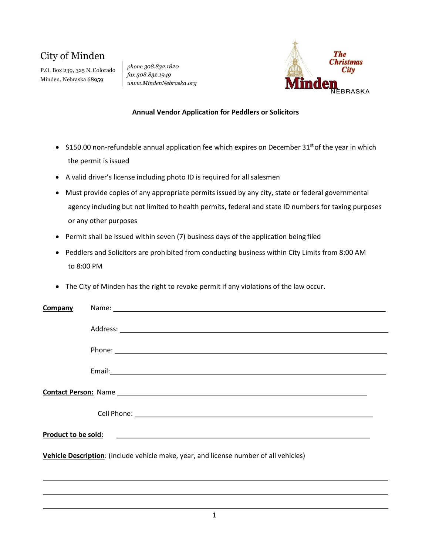## City of Minden

P.O. Box 239, 325 N. Colorado Minden, Nebraska 68959

*phone 308.832.1820 fax 308.832.1949 [www.MindenNebraska.org](http://www.mindennebraska.org/)*



## **Annual Vendor Application for Peddlers or Solicitors**

- \$150.00 non-refundable annual application fee which expires on December  $31^{st}$  of the year in which the permit is issued
- A valid driver's license including photo ID is required for all salesmen
- Must provide copies of any appropriate permits issued by any city, state or federal governmental agency including but not limited to health permits, federal and state ID numbers for taxing purposes or any other purposes
- Permit shall be issued within seven (7) business days of the application being filed
- Peddlers and Solicitors are prohibited from conducting business within City Limits from 8:00 AM to 8:00 PM
- The City of Minden has the right to revoke permit if any violations of the law occur.

| Company                                                                               |                               |  |  |
|---------------------------------------------------------------------------------------|-------------------------------|--|--|
|                                                                                       |                               |  |  |
|                                                                                       |                               |  |  |
|                                                                                       |                               |  |  |
|                                                                                       |                               |  |  |
|                                                                                       |                               |  |  |
|                                                                                       |                               |  |  |
|                                                                                       |                               |  |  |
|                                                                                       |                               |  |  |
|                                                                                       |                               |  |  |
|                                                                                       | Cell Phone: <u>Call Phone</u> |  |  |
|                                                                                       |                               |  |  |
|                                                                                       |                               |  |  |
|                                                                                       |                               |  |  |
| Vehicle Description: (include vehicle make, year, and license number of all vehicles) |                               |  |  |
|                                                                                       |                               |  |  |
|                                                                                       |                               |  |  |